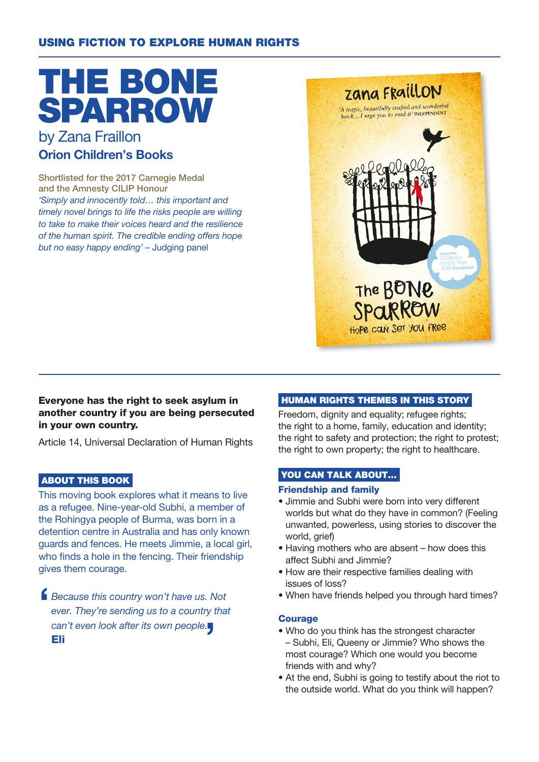### USING FICTION TO EXPLORE HUMAN RIGHTS

# THE BONE SPARROW by Zana Fraillon

# Orion Children's Books

Shortlisted for the 2017 Carnegie Medal and the Amnesty CILIP Honour 'Simply and innocently told… this important and timely novel brings to life the risks people are willing to take to make their voices heard and the resilience of the human spirit. The credible ending offers hope but no easy happy ending' – Judging panel



#### Everyone has the right to seek asylum in another country if you are being persecuted in your own country.

Article 14, Universal Declaration of Human Rights

#### ABOUT THIS BOOK

This moving book explores what it means to live as a refugee. Nine-year-old Subhi, a member of the Rohingya people of Burma, was born in a detention centre in Australia and has only known guards and fences. He meets Jimmie, a local girl, who finds a hole in the fencing. Their friendship gives them courage.

 $\blacksquare$ Because this country won't have us. Not ever. They're sending us to a country that can't even look after its own people. Eli

#### HUMAN RIGHTS THEMES IN THIS STORY

Freedom, dignity and equality; refugee rights; the right to a home, family, education and identity; the right to safety and protection; the right to protest; the right to own property; the right to healthcare.

#### YOU CAN TALK ABOUT...

#### Friendship and family

- Jimmie and Subhi were born into very different worlds but what do they have in common? (Feeling unwanted, powerless, using stories to discover the world, grief)
- Having mothers who are absent how does this affect Subhi and Jimmie?
- How are their respective families dealing with issues of loss?
- When have friends helped you through hard times?

#### Courage

- Who do you think has the strongest character – Subhi, Eli, Queeny or Jimmie? Who shows the most courage? Which one would you become friends with and why?
- At the end, Subhi is going to testify about the riot to the outside world. What do you think will happen?